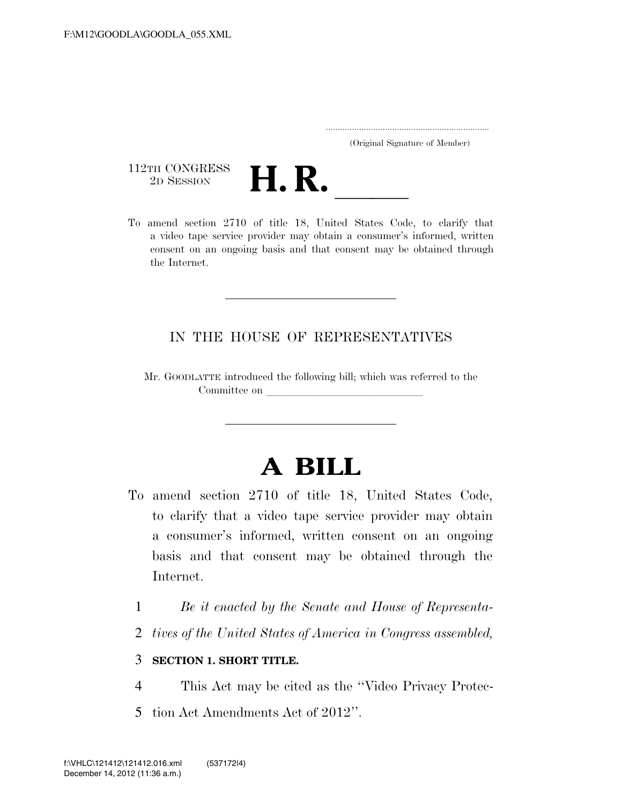..................................................................... (Original Signature of Member)

112TH CONGRESS<br>2D SESSION



112TH CONGRESS<br>
2D SESSION<br>
To amend section 2710 of title 18, United States Code, to clarify that a video tape service provider may obtain a consumer's informed, written consent on an ongoing basis and that consent may be obtained through the Internet.

## IN THE HOUSE OF REPRESENTATIVES

Mr. GOODLATTE introduced the following bill; which was referred to the Committee on

## **A BILL**

- To amend section 2710 of title 18, United States Code, to clarify that a video tape service provider may obtain a consumer's informed, written consent on an ongoing basis and that consent may be obtained through the Internet.
	- 1 *Be it enacted by the Senate and House of Representa-*
	- 2 *tives of the United States of America in Congress assembled,*

## 3 **SECTION 1. SHORT TITLE.**

- 4 This Act may be cited as the ''Video Privacy Protec-
- 5 tion Act Amendments Act of 2012''.